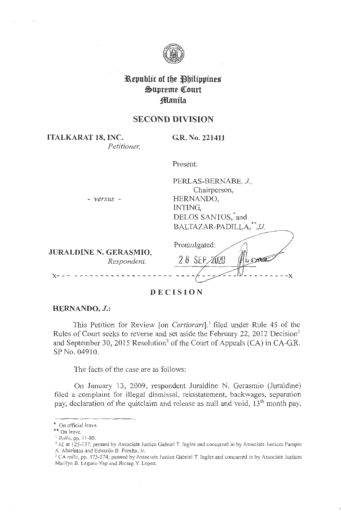

# **la.epublic of tbe ~bilippines \$ Upreme Ql:ourt ;fflanila**

# **SECOND DIVISION**

**ITALKARAT 18, INC.** 

*Petitioner,* 

**G.R. No. 221411** 

Present:

PERLAS-BERNABE, *J,*  Chairperson, HERNANDO, INTING, DELOS SANTOS, and BALTAZAR-PADILLA, J.J.  $-$ 

**JURALDINE N. GERASMIO,**  *Respondent.* 

- *versus* -

**x-** - - - - - - - - - - - - - - - - - - - - - - - - - - - - - **-x** 

**DECISION** 

Promulgated:

2 8 SEP 2020

## **HERNANDO, J.:**

This Petition for Review [on *Certiorari*],<sup>1</sup> filed under Rule 45 of the Rules of Court seeks to reverse and set aside the February 22, 2012 Decision<sup>2</sup> and September 30, 2015 Resolution<sup>3</sup> of the Court of Appeals (CA) in CA-GR. SP No. 04910.

The facts of the case are as follows:

On January 13, 2009, respondent Juraldine N. Gerasmio (Juraldine) filed a complaint for illegal dismissal, reinstatement, backwages, separation pay, declaration of the quitclaim and release as null and void,  $13<sup>th</sup>$  month pay,

,I,

<sup>\*</sup> On official leave.

<sup>\*\*</sup> On leave.

<sup>1</sup>*Rollo,* pp. 11-80.

<sup>&</sup>lt;sup>2</sup> Id. at 125-137; penned by Associate Justice Gabriel T. Ingles and concurred in by Associate Justices Pampio A. Abarintos and Eduardo 8. Peralta, Jr.

<sup>&</sup>lt;sup>3</sup> CA *rollo*, pp. 573-574; penned by Associate Justice Gabriel T. Ingles and concurred in by Associate Justices Marilyn B. Lagura-Yap and Jhosep Y. Lopez.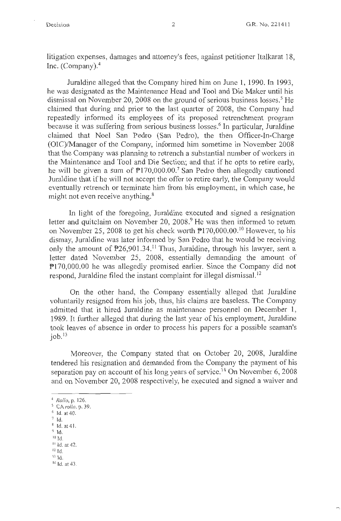litigation expenses, damages and attorney's fees, against petitioner Italkarat 18, Inc. (Company).<sup>4</sup>

Juraldine alleged that the Company hired him on June 1, 1990. In 1993, he was designated as the Maintenance Head and Tool and Die Maker until his dismissal on November 20, 2008 on the ground of serious business losses.<sup>5</sup> He claimed that during and prior to the last quarter of 2008, the Company had repeatedly informed its employees of its proposed retrenchment program because it was suffering from serious business losses.<sup>6</sup> In particular, Juraldine claimed that Noel San Pedro (San Pedro), the then Officer-In-Charge (OIC)/Manager of the Company, informed him sometime in November 2008 that the Company was planning to retrench a substantial number of workers in the Maintenance and Tool and Die Section; and that if he opts to retire early, he will be given a sum of  $P170,000.00$ .<sup>7</sup> San Pedro then allegedly cautioned Juraldine that if he will not accept the offer to retire early, the Company would eventually retrench or terminate him from his employment, in which case, he might not even receive anything.<sup>8</sup>

In light of the foregoing, Juraldine executed and signed a resignation letter and quitclaim on November 20,  $2008.<sup>9</sup>$  He was then informed to return on November 25, 2008 to get his check worth  $\mathbb{P}170,000.00$ .<sup>10</sup> However, to his dismay, Juraldine was later informed by San Pedro that he would be receiving only the amount of  $P26,901.34$ .<sup>11</sup> Thus, Juraldine, through his lawyer, sent a letter dated November 25, 2008, essentially demanding the amount of Pl 70,000.00 he was allegedly promised earlier. Since the Company did not respond, Juraldine filed the instant complaint for illegal dismissal.<sup>12</sup>

On the other hand, the Company essentially alleged that Juraldine voluntarily resigned from his job, thus, his claims are baseless. The Company admitted that it hired Juraldine as maintenance personnel on December 1, 1989. It further alleged that during the last year of his employment, Juraldine took leaves of absence in order to process his papers for a possible seaman's job. $13$ 

Moreover, the Company stated that on October 20, 2008, Juraldine tendered his resignation and demanded from the Company the payment of his separation pay on account of his long years of service.<sup>14</sup> On November 6, 2008 and on November 20, 2008 respectively, he executed and signed a waiver and

- 7 Id.
- 8 Id. at 41.
- $^9$ Id.
- $10$  Id.
- <sup>11</sup> Id. at 42.
- $^{12}$  Id.  $\,$ 13 Id.
- 14 Id. at 43.

<sup>4</sup>*Rollo,* p. 126.

*<sup>5</sup> CArollo,* p. 39.  $^{\rm 6}$  Id. at 40.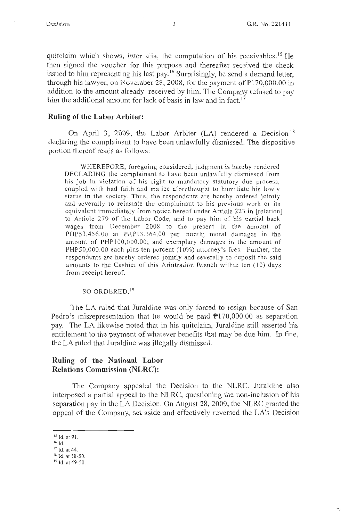quitclaim which shows, inter alia, the computation of his receivables. 15 He then signed the voucher for this purpose and thereafter received the check issued to him representing his last pay.<sup>16</sup> Surprisingly, he send a demand letter, through his lawyer, on November 28, 2008, for the payment of Pl 70,000.00 in addition to the amount already received by him. The Company refused to pay him the additional amount for lack of basis in law and in fact.<sup>17</sup>

## **Ruling of the Labor Arbiter:**

On April 3, 2009, the Labor Arbiter (LA) rendered a Decision<sup>18</sup> declaring the complainant to have been unlawfully dismissed. The dispositive portion thereof reads as follows:

WHEREFORE, foregoing considered, judgment is hereby rendered DECLARING the complainant to have been unlawfully dismissed from his job in violation of his right to mandatory statutory due process, coupled with bad faith and malice aforethought to humiliate his lowly status in the society. Thus, the respondents are hereby ordered jointly and severally to reinstate the complainant to his previous work or its equivalent immediately from notice hereof under Article 223 in [relation] to Article 279 of the Labor Code, and to pay him of his partial back wages from December 2008 to the present in the amount of PHP53,456.00 at PHP13,364.00 per month; moral damages in the amount of PHP 100,000.00; and exemplary damages in the amount of PHPS0,000.00 each plus ten percent (10%) attorney's fees. Further, the respondents are hereby ordered jointly and severally to deposit the said amounts to the Cashier of this Arbitration Branch within ten (10) days from receipt hereof.

SO ORDERED. <sup>19</sup>

The LA ruled that Juraldine was only forced to resign because of San Pedro's misrepresentation that he would be paid  $P170,000.00$  as separation pay. The LA likewise noted that in his quitclaim, Juraldine still asserted his entitlement to the payment of whatever benefits that may be due him. In fine, the LA ruled that Juraldine was illegally dismissed.

# **Ruling of the National Labor Relations Commission (NLRC):**

The Company appealed the Decision to the NLRC. Juraldine also interposed a partial appeal to the NLRC, questioning the non-inclusion of his separation pay in the LA Decision. On August 28, 2009, the NLRC granted the appeal of the Company, set aside and effectively reversed the LA's Decision

<sup>15</sup>Id. at 91.

 $16$  Id.

<sup>17</sup> Id. at 44.

<sup>18</sup>Id. at 38-50.

<sup>&</sup>lt;sup>19</sup> Id. at 49-50.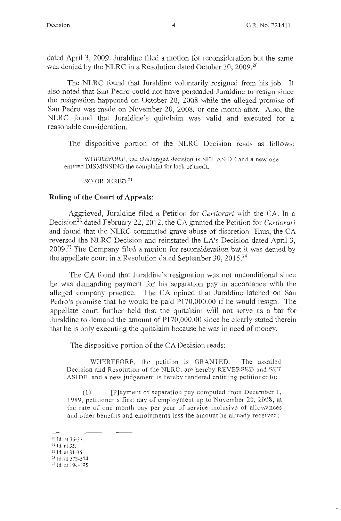.-, ,

dated April 3, 2009. Juraldine filed a motion for reconsideration but the same was denied by the NLRC in a Resolution dated October 30, 2009.<sup>20</sup>

The NLRC found that Juraldine voluntarily resigned from his job. It also noted that San Pedro could not have persuaded Juraldine to resign since the resignation happened on October 20, 2008 while the alleged promise of San Pedro was made on November 20, 2008, or one month after. Also, the NLRC found that Juraldine's quitclaim was valid and executed for a reasonable consideration.

The dispositive portion of the NLRC Decision reads as follows:

WHEREFORE, the challenged decision is SET ASIDE and a new one entered DISMISSING the complaint for lack of merit.

SO ORDERED.<sup>21</sup>

## **Ruling of the Court of Appeals:**

Aggrieved, Juraldine filed a Petition for *Certiorari* with the CA. In a Decision<sup>22</sup> dated February 22, 2012, the CA granted the Petition for *Certiorari* and found that the NLRC committed grave abuse of discretion. Thus, the CA reversed the NLRC Decision and reinstated the LA's Decision dated April 3, 2009.<sup>23</sup> The Company filed a motion for reconsideration but it was denied by the appellate court in a Resolution dated September 30,  $2015.^{24}$ 

The CA found that Juraldine's resignation was not unconditional since he was demanding payment for his separation pay in accordance with the alleged company practice. The CA opined that Juraldine latched on San Pedro's promise that he would be paid  $P170,000.00$  if he would resign. The appellate court further held that the quitclaim will not serve as a bar for Juraldine to demand the amount of  $P170,000.00$  since he clearly stated therein that he is only executing the quitclaim because he was in need of money.

The dispositive portion of the CA Decision reads:

WHEREFORE, the petition is GRANTED. The assailed Decision and Resolution of the NLRC, are hereby REVERSED and SET ASIDE, and a new judgement is hereby rendered entitling petitioner to :

 $(1)$  [P]ayment of separation pay computed from December 1, 1989, petitioner's first day of employment up to November 20, 2008 , at the rate of one month pay per year of service inclusive of allowances and other benefits and emoluments less the amount he already received;

 $^{20}$  Id. at 36-37.<br><sup>21</sup> Id. at 35.

 $22$  Id. at 31-35.<br> $23$  Id. at 573-574.

<sup>&</sup>lt;sup>24</sup> Id. at 194-195.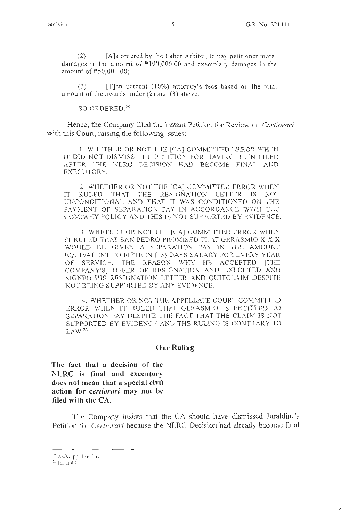/

(2) [A]s ordered by the Labor Arbiter, to pay petitioner moral damages in the amount of  $P100,000.00$  and exemplary damages in the amount of PS0,000.00;

(3) [T]en percent (10%) attorney's fees based on the total amount of the awards under (2) and (3) above.

SO ORDERED.<sup>25</sup>

Hence, the Company filed the instant Petition for Review on *Certiorari*  with this Court, raising the following issues:

1. WHETHER OR NOT THE [CA] COMMITTED ERROR WHEN IT DID NOT DISMISS THE PETITION FOR HAVING BEEN FILED AFTER THE NLRC DECISION HAD BECOME FINAL AND EXECUTORY.

2. WHETHER OR NOT THE [CA] COMMITTED ERROR WHEN IT RULED THAT THE RESIGNATION LETTER IS NOT UNCONDITIONAL AND THAT IT WAS CONDITIONED ON THE PAYMENT OF SEPARATION PAY IN ACCORDANCE WITH THE COMPANY POLICY AND THIS IS NOT SUPPORTED BY EVIDENCE.

3. WHETHER OR NOT THE [CA] COMMITTED ERROR WHEN IT RULED THAT SAN PEDRO PROMISED THAT GERASMIO X X X WOULD BE GIVEN A SEPARATION PAY IN THE AMOUNT EQUIVALENT TO FIFTEEN (15) DAYS SALARY FOR EVERY YEAR OF SERVICE, THE REASON WHY HE ACCEPTED [THE COMPANY'S] OFFER OF RESIGNATION AND EXECUTED AND SIGNED HIS RESIGNATION LETTER AND QUITCLAIM DESPITE NOT BEING SUPPORTED BY ANY EVIDENCE.

4. WHETHER OR NOT THE APPELLATE COURT COMMITTED ERROR WHEN IT RULED THAT GERASMIO IS ENTITLED TO SEPARATION PAY DESPITE THE FACT THAT THE CLAIM IS NOT SUPPORTED BY EVIDENCE AND THE RULING IS CONTRARY TO LAW.<sup>26</sup>

## **Our Ruling**

**The fact that a decision of the NLRC is final and executory does not mean that a special civil action for** *certiorari* **may not be filed with the CA.** 

The Company insists that the CA should have dismissed Juraldine's Petition for *Certiorari* because the NLRC Decision had already become final

<sup>&</sup>lt;sup>25</sup> *Rollo*, pp. 136-137.<br><sup>26</sup> Id. at 43.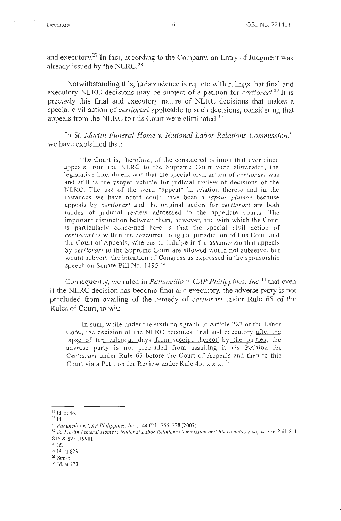and executory.27 In fact, according to the Company, an Entry of Judgment was already issued by the NLRC.<sup>28</sup>

Notwithstanding this, jurisprudence is replete with rulings that final and executory NLRC decisions may be subject of a petition for *certiorari*.<sup>29</sup> It is precisely this final and executory nature of NLRC decisions that makes a special civil action of *certiorari* applicable to such decisions, considering that appeals from the NLRC to this Court were eliminated.<sup>30</sup>

In *St. Martin Funeral Home v. National Labor Relations Commission,*<sup>31</sup> we have explained that:

The Court is, therefore, of the considered opinion that ever since appeals from the NLRC to the Supreme Court were eliminated, the legislative intendment was that the special civil action of *certiorari* was and still is the proper vehicle for judicial review of decisions of the NLRC. The use of the word "appeal" in relation thereto and in the instances we have noted could have been a *lapsus plumae* because appeals by *certiorari* and the original action for *certiorari* are both modes of judicial review addressed to the appellate courts. The important distinction between them, however, and with which the Court is particularly concerned here is that the special civil action of *certiorari* is within the concurrent original jurisdiction of this Court and the Court of Appeals; whereas to indulge in the assumption that appeals by *certiorari* to the Supreme Court are allowed would not subserve, but would subvert, the intention of Congress as expressed in the sponsorship speech on Senate Bill No. 1495.<sup>32</sup>

Consequently, we ruled in *Panuncillo v. CAP Philippines, Inc.*<sup>33</sup> that even if the NLRC decision has become final and executory, the adverse party is not precluded from availing of the remedy of *certiorari* under Rule 65 of the Rules of Court, to wit:

In sum, while under the sixth paragraph of Article 223 of the Labor Code, the decision of the NLRC becomes final and executory after the lapse of ten calendar days from receipt thereof by the parties, the adverse party is not precluded from assailing it *via* Petition for *Certiorari* under Rule 65 before the Court of Appeals and then to this Court via a Petition for Review under Rule 45. x x x.  $34$ 

<sup>27</sup>Id. at 44.

<sup>2</sup>s Id.

<sup>29</sup>*Pammci!lo v. CAP Philippines, Inc. ,* 544 Phil. 256, 278 (2007). 30 *St. Martin Funeral Home* v. *National labor Relations Commission and Bienvenido Aricayos,* 356 Phil. 8 11, 816 & 823 ( 1998).

 $31$  Id.

<sup>32</sup> Id. at 823.

*<sup>33</sup> Supra.* 

<sup>34</sup> Id. at 278.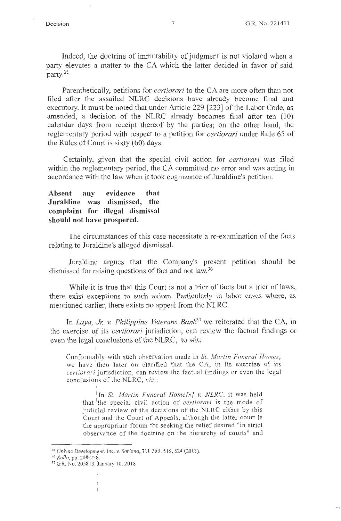$\overline{a}$ .

Indeed, the doctrine of immutability of judgment is not violated when a party elevates a matter to the CA which the latter decided in favor of said party.35

Parenthetically, petitions for *certiorari* to the CA are more often than not filed after the assailed NLRC decisions have already become final and executory. It must be noted that under Article 229 [223] of the Labor Code, as amended, a decision of the NLRC already becomes final after ten (10) calendar days from receipt thereof by the parties; on the other hand, the reglementary period with respect to a petition for *certiorari* under Rule 65 of the Rules of Court is sixty  $(60)$  days.

Certainly, given that the special civil action for *certiorari* was filed within the reglementary period, the CA committed no error and was acting in accordance with the law when it took cognizance of Juraldine's petition.

# **Absent any evidence that Juraldine was dismissed, the complaint for illegal dismissal should not have prospered.**

The circumstances of this case necessitate a re-examination of the facts relating to Juraldine's alleged dismissal.

Juraldine argues that the Company's present petition should be dismissed for raising questions of fact and not law.<sup>36</sup>

While it is true that this Court is not a trier of facts but a trier of laws, there exist exceptions to such axiom. Particularly in labor cases where, as mentioned earlier, there exists no appeal from the NLRC.

In *Laya, Jr. v. Philippine Veterans Bank*<sup>37</sup> we reiterated that the CA, in the exercise of its *certiorari* jurisdiction, can review the factual findings or even the legal conclusions of the NLRC, to wit:

Conformably with such observation made in *St. Martin Funeral Homes,*  we have then later on clarified that the CA, in its exercise of its  $certain$  jurisdiction, can review the factual findings or even the legal conclusions of the NLRC, viz.:

<sup>1</sup>In *St. Martin Funeral Home[s]* v. *NLRC,* it was held that the special civil action of *certiorari* is the mode of judiqial review of the decisions of the NLRC either by this Court and the Court of Appeals, although the latter court is the appropriate forum for seeking the relief desired "in strict observance of the doctrine on the hierarchy of courts" and

 $\overline{\phantom{a}}$  $\overline{1}$ 

I

<sup>&</sup>lt;sup>35</sup> Univac Development, Inc. v. *Soriano*, 711 Phil. 516, 524 (2013). <sup>36</sup> *Rollo*, pp. 208-258. 37 G.R. No. 205813, January 10, 2018.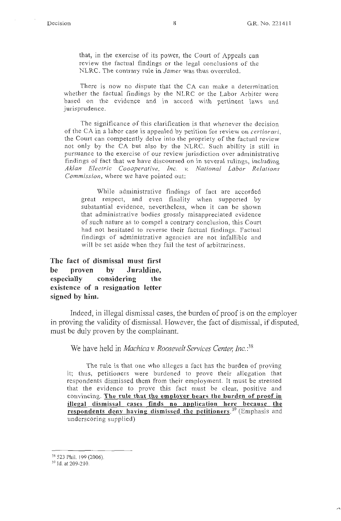$\sim$ .

that, in the exercise of its power, the Court of Appeals can review the factual findings or the legal conclusions of the NLRC. The contrary rule in *Jamer* was thus overruled.

There is now no dispute that the CA can make a determination whether the factual findings by the NLRC or the Labor Arbiter were based on the evidence and in accord with pertinent laws and jurisprudence.

The significance of this clarification is that whenever the decision of the CA in a labor case is appealed by petition for review on *certiorari,*  the Court can competently delve into the propriety of the factual review not only by the CA but also by the NLRC. Such ability is still in pursuance to the exercise of our review jurisdiction over administrative findings of fact that we have discoursed on in several rulings, including *Aklan Electric Coooperative, Inc. v. National Labor Relations Commission,* where we have pointed out:

While administrative findings of fact are accorded great respect, and even finality when supported by substantial evidence, nevertheless, when it can be shown that administrative bodies grossly misappreciated evidence of such nature as to compel a contrary conclusion, this Court had not hesitated to reverse their factual findings. Factual findings of administrative agencies are not infallible and will be set aside when they fail the test of arbitrariness.

**The fact of dismissal must first be proven by Juraldine, especially considering the existence of a resignation letter signed by him.** 

Indeed, in illegal dismissal cases, the burden of proof is on the employer in proving the validity of dismissal. However, the fact of dismissal, if disputed, must be duly proven by the complainant.

We have held in *Machica* v. *Roosevelt Services Center, Inc.* : 38

The rule is that one who alleges a fact has the burden of proving it; thus, petitioners were burdened to prove their allegation that respondents dismissed them from their employment. It must be stressed that the evidence to prove this fact must be clear, positive and convincing. **The rule that the employer bears the burden of proof in illegal dismissal cases finds no application here because the respondents deny having dismissed the petitioners. <sup>39</sup>**(Emphasis and underscoring supplied)

<sup>38 523</sup> Phil. 199 (2006).

<sup>39</sup> Id. at 209-2 10.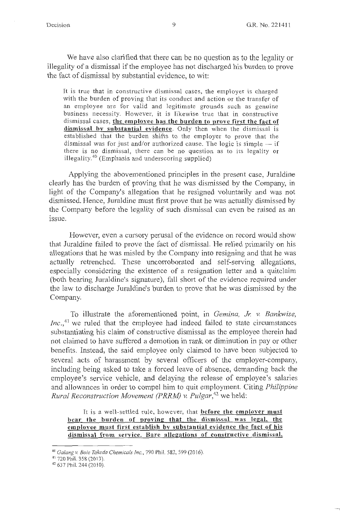We have also clarified that there can be no question as to the legality or illegality of a dismissal if the employee has not discharged his burden to prove the fact of dismissal by substantial evidence, to wit:

It is true that in constructive dismissal cases, the employer is charged with the burden of proving that its conduct and action or the transfer of an employee are for valid and legitimate grounds such as genuine business necessity. However, it is likewise true that in constructive dismissal cases, **the employee has the burden to prove first the fact of dismissal by substantial evidence.** Only then when the dismissal is established that the burden shifts to the employer to prove that the dismissal was for just and/or authorized cause. The logic is simple  $-$  if there is no dismissal, there can be no question as to its legality or illegality.40 (Emphasis and underscoring supplied)

Applying the abovementioned principles in the present case, Juraldine clearly has the burden of proving that he was dismissed by the Company, in light of the Company's allegation that he resigned voluntarily and was not dismissed. Hence, Juraldine must first prove that he was actually dismissed by the Company before the legality of such dismissal can even be raised as an issue.

However, even a cursory perusal of the evidence on record would show that Juraldine failed to prove the fact of dismissal. He relied primarily on his allegations that he was misled by the Company into resigning and that he was actually retrenched. These uncorroborated and self-serving allegations, especially considering the existence of a resignation letter and a quitclaim (both bearing Juraldine's signature), fall short of the evidence required under the law to discharge Juraldine's burden to prove that he was dismissed by the Company.

To illustrate the aforementioned point, in *Gemina, Jr. v. Bankwise, Inc.*<sup>41</sup> we ruled that the employee had indeed failed to state circumstances substantiating his claim of constructive dismissal as the employee therein had not claimed to have suffered a demotion in rank or diminution in pay or other benefits. Instead, the said employee only claimed to have been subjected to several acts of harassment by several officers of the employer-company, including being asked to take a forced leave of absence, demanding back the employee's service vehicle, and delaying the release of employee's salaries and allowances in order to compel him to quit employment. Citing *Philippine Rural Reconstruction Movement (P RRM)* v. *Pulgar,* 42 we held:

It is a well-settled rule, however, that **before the employer must bear the burden of proving that the dismissal was legal, the employee must first establish by substantial evidence the fact of his dismissal from service. Bare allegations of constructive dismissal,** 

<sup>40</sup>*Galang v. Boie Takeda Chemicals Inc.,* 790 Phil. 582, 599(20 16).

<sup>41</sup> 720 Phil. 358 (2013).

<sup>&</sup>lt;sup>42</sup> 637 Phil. 244 (2010).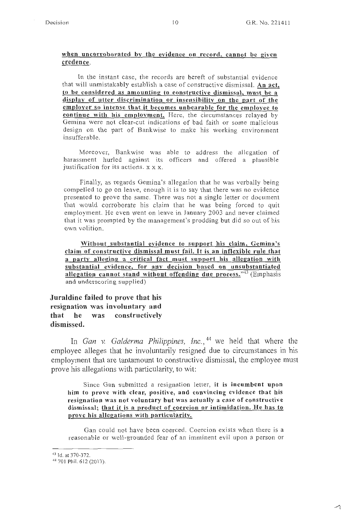$\overline{\phantom{0}}$ 

#### **when uncorroborated by the evidence on record, cannot be given credence.**

In the instant case, the records are bereft of substantial evidence that will unmistakably establish a case of constructive dismissal. **An act, to be considered as amounting to constructive dismissal, must be a display of utter discrimination or insensibility on the part of the employer so intense that it becomes unbearable for the employee to continue with his emplovment.** Here, the circumstances relayed by Gemina were not clear-cut indications of bad faith or some malicious design on the part of Bankwise to make his working environment insufferable.

Moreover, Bankwise was able to address the allegation of harassment hurled against its officers and offered a plausible justification for its actions. x x x.

Finally, as regards Gemina's allegation that he was verbally being compelled to go on leave, enough it is to say that there was no evidence presented to prove the same. There was not a single letter or document that would corroborate his claim that he was being forced to quit employment. He even went on leave in January 2003 and never claimed that it was prompted by the management's prodding but did so out of his own volition.

**Without substantial evidence to support his claim, Gemina's claim of constructive dismissal must fail.** It **is an inflexible rule that a partv alleging a critical fact must support his allegation with substantial evidence, for any decision based on unsubstantiated allegation cannot stand without offending due process."43** (Emphasis and underscoring supplied)

**Juraldine failed to prove that his resignation was involuntary and that he was constructively dismissed.** 

In *Gan v. Galderma Philippines, Inc.*, <sup>44</sup> we held that where the employee alleges that he involuntarily resigned due to circumstances in his employment that are tantamount to constructive dismissal, the employee must prove his allegations with particularity, to wit:

Since Gan submitted a resignation letter, **it is incumbent upon him to prove with clear, positive, and convincing evidence that his resignation was not voluntary but was actually a case of constructive**  dismissal; that it is a product of coereion or intimidation. He has to **prove his allegations with particularity.** 

Gan could not have been coerced. Coercion exists when there is a reasonable or well-grounded fear of an imminent evil upon a person or

<sup>&</sup>lt;sup>43</sup> Id. at 370-372.

<sup>&</sup>lt;sup>44</sup> 701 Phil. 612 (2013).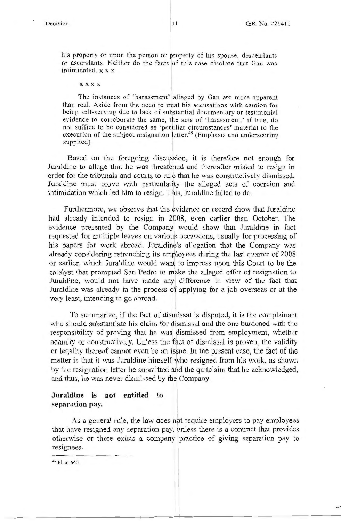his property or upon the person or property of his spouse, descendants or ascendants. Neither do the facts of this case disclose that Gan was intimidated. x x x

**xxxx** 

The instances of 'harassment' alleged by Gan are more apparent than real. Aside from the need to treat his accusations with caution for being self-serving due to lack of substantial documentary or testimonial evidence to corroborate the same, the acts of 'harassment,' if true, do not suffice to be considered as 'peculiar circumstances' material to the execution of the subject resignation letter.<sup>45</sup> (Emphasis and underscoring supplied)

Based on the foregoing discussion, it is therefore not enough for Juraldine to allege that he was threatened and thereafter misled to resign in order for the tribunals and courts to rule that he was constructively dismissed. Juraldine must prove with particularity the alleged acts of coercion and intimidation which led him to resign. This, Juraldine failed to do.

Furthermore, we observe that the evidence on record show that Juraldine had already intended to resign in 2008, even earlier than October. The evidence presented by the Company would show that Juraldine in fact requested for multiple leaves on various occassions, usually for processing of his papers for work abroad. Juraldine's allegation that the Company was already considering retrenching its employees during the last quarter of 2008 or earlier, which Juraldine would want to impress upon this Court to be the catalyst that prompted San Pedro to make the alleged offer of resignation to Juraldine, would not have made any difference in view of the fact that Juraldine was already in the process of applying for a job overseas or at the very least, intending to go abroad.

To summarize, if the fact of dismissal is disputed, it is the complainant who should substantiate his claim for dismissal and the one burdened with the responsibility of proving that he was dismissed from employment, whether actually or constructively. Unless the fact of dismissal is proven, the validity or legality thereof cannot even be an issue. In the present case, the fact of the matter is that it was Juraldine himself who resigned from his work, as shown by the resignation letter he submitted and the quitclaim that he acknowledged, and thus, he was never dismissed by the Company.

## **Juraldine is not entitled to separation pay.**

As a general rule, the law does not require employers to pay employees that have resigned any separation pay, unless there is a contract that provides otherwise or there exists a company practice of giving separation pay to resignees.

45 Id. at 640.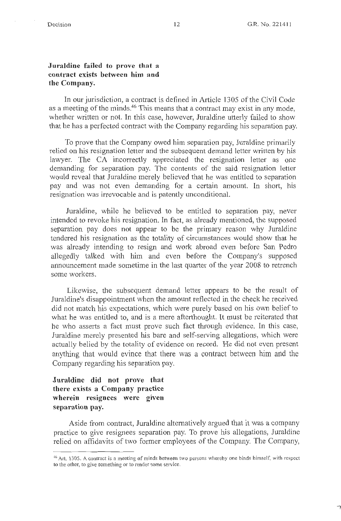,,

## **Juraldine failed to prove that a contract exists between him and the Company.**

In our jurisdiction, a contract is defined in Article 1305 of the Civil Code as a meeting of the minds.<sup>46</sup> This means that a contract may exist in any mode, whether written or not. In this case, however, Juraldine utterly failed to show that he has a perfected contract with the Company regarding his separation pay.

To prove that the Company owed him separation pay, Juraldine primarily relied on his resignation letter and the subsequent demand letter written by his lawyer. The CA incorrectly appreciated the resignation letter as one demanding for separation pay. The contents of the said resignation letter would reveal that Juraldine merely believed that he was entitled to separation pay and was not even demanding for a certain amount. In short, his resignation was irrevocable and is patently unconditional.

Juraldine, while he believed to be entitled to separation pay, never intended to revoke his resignation. In fact, as already mentioned, the supposed separation pay does not appear to be the primary reason why Juraldine tendered his resignation as the totality of circumstances would show that he was already intending to resign and work abroad even before San Pedro allegedly talked with him and even before the Company's supposed announcement made sometime in the last quarter of the year 2008 to retrench some workers.

Likewise, the subsequent demand letter appears to be the result of Juraldine's disappointment when the amount reflected in the check he received did not match his expectations, which were purely based on his own belief to what he was entitled to, and is a mere afterthought. It must be reiterated that he who asserts a fact must prove such fact through evidence. In this case, Juraldine merely presented his bare and self-serving allegations, which were actually belied by the totality of evidence on record. He did not even present anything that would evince that there was a contract between him and the Company regarding his separation pay.

**Juraldine did not prove that there exists a Company practice wherein resignees were given separation pay.** 

Aside from contract, Juraldine alternatively argued that it was a company practice to give resignees separation pay. To prove his allegations, Juraldine relied on affidavits of two former employees of the Company. The Company,

<sup>46</sup> Art. 1305. A contract is a meeting of minds between two persons whereby one binds himself, with respect to the other, to give something or to render some service.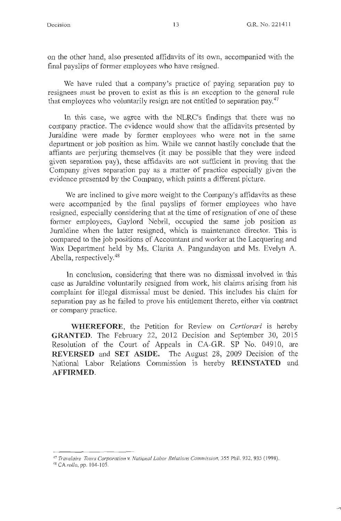on the other hand, also presented affidavits of its own, accompanied with the final payslips of former employees who have resigned.

We have ruled that a company's practice of paying separation pay to resignees must be proven to exist as this is an exception to the general rule that employees who voluntarily resign are not entitled to separation pay.<sup>47</sup>

In this case, we agree with the NLRC's findings that there was no company practice. The evidence would show that the affidavits presented by Juraldine were made by former employees who were not in the same department or job position as him. While we cannot hastily conclude that the affiants are perjuring themselves (it may be possible that they were indeed given separation pay), these affidavits are not sufficient in proving that the Company gives separation pay as a matter of practice especially given the evidence presented by the Company, which paints a different picture.

We are inclined to give more weight to the Company's affidavits as these were accompanied by the final payslips of former employees who have resigned, especially considering that at the time of resignation of one of these former employees, Gaylord Nebril, occupied the same job position as Juraldine when the latter resigned, which is maintenance director. This is compared to the job positions of Accountant and worker at the Lacquering and Wax Department held by Ms. Clarita A. Pangandayon and Ms. Evelyn A. Abella, respectively.<sup>48</sup>

In conclusion, considering that there was no dismissal involved in this case as Juraldine voluntarily resigned from work, his claims arising from his complaint for illegal dismissal must be denied. This includes his claim for separation pay as he failed to prove his entitlement thereto, either via contract or company practice.

**WHEREFORE,** the Petition for Review on *Certiorari* is hereby **GRANTED.** The February 22, 2012 Decision and September 30, 2015 Resolution of the Court of Appeals in CA-GR. SP No. 04910, are **REVERSED** and **SET ASIDE.** The August 28, 2009 Decision of the National Labor Relations Commission is hereby **REINSTATED** and **AFFIRMED.** 

<sup>&</sup>lt;sup>47</sup> *Travelaire Tours Corporation v. National Labor Relations Commission, 355 Phil. 932, 935 (1998).* 

<sup>&</sup>lt;sup>48</sup> CA *rollo*, pp. 104-105.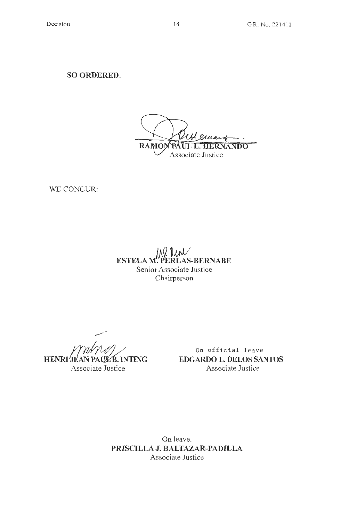**SO ORDERED.** 

RAN ÆOI ANDO Associate Justice

WE CONCUR:

**ESTELA M. PERLAS-BERNABE** Senior Associate Justice Chairperson

**HENRI JI** ÉB. INTING Associate Justice

On official leave **EDGARDO L. DELOS SANTOS**  Associate Justice

On leave. **PRISCILLA J. BALTAZAR-PADILLA**  Associate Justice